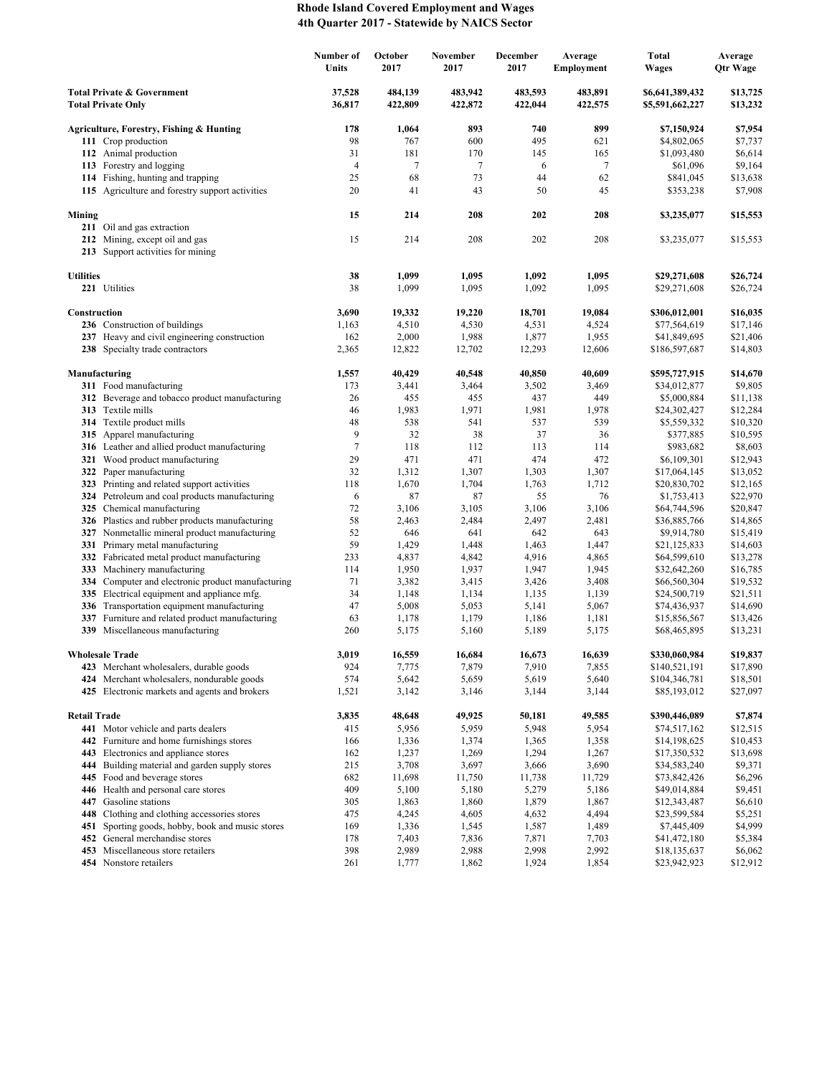## **Rhode Island Covered Employment and Wages 4th Quarter 2017 - Statewide by NAICS Sector**

|                                                                    |                                                                                             | Number of<br>Units | October<br>2017    | November<br>2017   | <b>December</b><br>2017 | Average<br><b>Employment</b> | <b>Total</b><br><b>Wages</b>       | Average<br>Qtr Wage  |
|--------------------------------------------------------------------|---------------------------------------------------------------------------------------------|--------------------|--------------------|--------------------|-------------------------|------------------------------|------------------------------------|----------------------|
| <b>Total Private &amp; Government</b><br><b>Total Private Only</b> |                                                                                             | 37,528<br>36,817   | 484,139<br>422,809 | 483,942<br>422,872 | 483,593<br>422,044      | 483,891<br>422,575           | \$6,641,389,432<br>\$5,591,662,227 | \$13,725<br>\$13,232 |
|                                                                    | Agriculture, Forestry, Fishing & Hunting                                                    | 178                | 1,064              | 893                | 740                     | 899                          | \$7,150,924                        | \$7,954              |
|                                                                    | 111 Crop production                                                                         | 98                 | 767                | 600                | 495                     | 621                          | \$4,802,065                        | \$7,737              |
|                                                                    | 112 Animal production                                                                       | 31                 | 181                | 170                | 145                     | 165                          | \$1,093,480                        | \$6,614              |
|                                                                    | 113 Forestry and logging                                                                    | $\overline{4}$     | 7                  | 7                  | 6                       | $\tau$                       | \$61,096                           | \$9,164              |
|                                                                    | 114 Fishing, hunting and trapping                                                           | 25                 | 68                 | 73                 | 44                      | 62                           | \$841,045                          | \$13,638             |
|                                                                    | 115 Agriculture and forestry support activities                                             | 20                 | 41                 | 43                 | 50                      | 45                           | \$353,238                          | \$7,908              |
| Mining                                                             | 211 Oil and gas extraction                                                                  | 15                 | 214                | 208                | 202                     | 208                          | \$3,235,077                        | \$15,553             |
|                                                                    | 212 Mining, except oil and gas<br>213 Support activities for mining                         | 15                 | 214                | 208                | 202                     | 208                          | \$3,235,077                        | \$15,553             |
| <b>Utilities</b>                                                   |                                                                                             | 38                 | 1,099              | 1,095              | 1,092                   | 1,095                        | \$29,271,608                       | \$26,724             |
|                                                                    | 221 Utilities                                                                               | 38                 | 1,099              | 1,095              | 1,092                   | 1,095                        | \$29,271,608                       | \$26,724             |
| Construction                                                       |                                                                                             | 3,690              | 19,332             | 19,220             | 18,701                  | 19,084                       | \$306,012,001                      | \$16,035             |
|                                                                    | 236 Construction of buildings                                                               | 1,163              | 4,510              | 4,530              | 4,531                   | 4,524                        | \$77,564,619                       | \$17,146             |
|                                                                    | 237 Heavy and civil engineering construction                                                | 162                | 2,000              | 1,988              | 1,877                   | 1,955                        | \$41,849,695                       | \$21,406             |
|                                                                    | 238 Specialty trade contractors                                                             | 2,365              | 12,822             | 12,702             | 12,293                  | 12,606                       | \$186,597,687                      | \$14,803             |
|                                                                    | Manufacturing                                                                               | 1,557              | 40,429             | 40,548             | 40,850                  | 40,609                       | \$595,727,915                      | \$14,670             |
|                                                                    | 311 Food manufacturing                                                                      | 173                | 3,441              | 3,464              | 3,502                   | 3,469                        | \$34,012,877                       | \$9,805              |
|                                                                    | 312 Beverage and tobacco product manufacturing                                              | 26                 | 455                | 455                | 437                     | 449                          | \$5,000,884                        | \$11,138             |
|                                                                    | 313 Textile mills<br>314 Textile product mills                                              | 46<br>48           | 1,983<br>538       | 1,971<br>541       | 1,981                   | 1,978<br>539                 | \$24,302,427                       | \$12,284             |
|                                                                    | 315 Apparel manufacturing                                                                   | 9                  | 32                 | 38                 | 537<br>37               | 36                           | \$5,559,332<br>\$377,885           | \$10,320<br>\$10,595 |
|                                                                    | 316 Leather and allied product manufacturing                                                | $\tau$             | 118                | 112                | 113                     | 114                          | \$983,682                          | \$8,603              |
|                                                                    | 321 Wood product manufacturing                                                              | 29                 | 471                | 471                | 474                     | 472                          | \$6,109,301                        | \$12,943             |
|                                                                    | 322 Paper manufacturing                                                                     | 32                 | 1,312              | 1,307              | 1,303                   | 1,307                        | \$17,064,145                       | \$13,052             |
|                                                                    | 323 Printing and related support activities                                                 | 118                | 1,670              | 1,704              | 1,763                   | 1,712                        | \$20,830,702                       | \$12,165             |
|                                                                    | 324 Petroleum and coal products manufacturing                                               | 6                  | 87                 | 87                 | 55                      | 76                           | \$1,753,413                        | \$22,970             |
|                                                                    | 325 Chemical manufacturing                                                                  | 72                 | 3,106              | 3,105              | 3,106                   | 3,106                        | \$64,744,596                       | \$20,847             |
|                                                                    | 326 Plastics and rubber products manufacturing                                              | 58                 | 2,463              | 2,484              | 2,497                   | 2,481                        | \$36,885,766                       | \$14,865             |
|                                                                    | 327 Nonmetallic mineral product manufacturing                                               | 52                 | 646                | 641                | 642                     | 643                          | \$9,914,780                        | \$15,419             |
|                                                                    | 331 Primary metal manufacturing                                                             | 59                 | 1,429              | 1,448              | 1,463                   | 1,447                        | \$21,125,833                       | \$14,603             |
|                                                                    | 332 Fabricated metal product manufacturing                                                  | 233                | 4,837              | 4,842              | 4,916                   | 4,865                        | \$64,599,610                       | \$13,278             |
| 333                                                                | Machinery manufacturing<br>334 Computer and electronic product manufacturing                | 114<br>71          | 1,950              | 1,937              | 1,947                   | 1,945                        | \$32,642,260                       | \$16,785             |
| 335                                                                | Electrical equipment and appliance mfg.                                                     | 34                 | 3,382<br>1,148     | 3,415<br>1,134     | 3,426<br>1,135          | 3,408<br>1,139               | \$66,560,304<br>\$24,500,719       | \$19,532<br>\$21,511 |
|                                                                    | 336 Transportation equipment manufacturing                                                  | 47                 | 5,008              | 5,053              | 5,141                   | 5,067                        | \$74,436,937                       | \$14,690             |
| 337                                                                | Furniture and related product manufacturing                                                 | 63                 | 1,178              | 1,179              | 1,186                   | 1,181                        | \$15,856,567                       | \$13,426             |
|                                                                    | 339 Miscellaneous manufacturing                                                             | 260                | 5,175              | 5,160              | 5,189                   | 5,175                        | \$68,465,895                       | \$13,231             |
| <b>Wholesale Trade</b>                                             |                                                                                             | 3,019              | 16,559             | 16,684             | 16,673                  | 16,639                       | \$330,060,984                      | \$19,837             |
|                                                                    | 423 Merchant wholesalers, durable goods                                                     | 924                | 7,775              | 7,879              | 7,910                   | 7,855                        | \$140,521,191                      | \$17,890             |
|                                                                    | 424 Merchant wholesalers, nondurable goods<br>425 Electronic markets and agents and brokers | 574<br>1,521       | 5,642<br>3,142     | 5,659<br>3,146     | 5,619<br>3,144          | 5,640<br>3,144               | \$104,346,781<br>\$85,193,012      | \$18,501<br>\$27,097 |
|                                                                    |                                                                                             |                    |                    |                    |                         |                              |                                    |                      |
| <b>Retail Trade</b>                                                | 441 Motor vehicle and parts dealers                                                         | 3,835<br>415       | 48,648<br>5,956    | 49,925<br>5,959    | 50,181<br>5,948         | 49,585<br>5,954              | \$390,446,089                      | \$7,874<br>\$12,515  |
|                                                                    | 442 Furniture and home furnishings stores                                                   | 166                | 1,336              | 1,374              | 1,365                   | 1,358                        | \$74,517,162<br>\$14,198,625       | \$10,453             |
|                                                                    | 443 Electronics and appliance stores                                                        | 162                | 1,237              | 1,269              | 1,294                   | 1,267                        | \$17,350,532                       | \$13,698             |
| 444                                                                | Building material and garden supply stores                                                  | 215                | 3,708              | 3,697              | 3,666                   | 3,690                        | \$34,583,240                       | \$9,371              |
|                                                                    | 445 Food and beverage stores                                                                | 682                | 11,698             | 11,750             | 11,738                  | 11,729                       | \$73,842,426                       | \$6,296              |
|                                                                    | 446 Health and personal care stores                                                         | 409                | 5,100              | 5,180              | 5,279                   | 5,186                        | \$49,014,884                       | \$9,451              |
|                                                                    | 447 Gasoline stations                                                                       | 305                | 1,863              | 1,860              | 1,879                   | 1,867                        | \$12,343,487                       | \$6,610              |
| 448                                                                | Clothing and clothing accessories stores                                                    | 475                | 4,245              | 4,605              | 4,632                   | 4,494                        | \$23,599,584                       | \$5,251              |
| 451                                                                | Sporting goods, hobby, book and music stores                                                | 169                | 1,336              | 1,545              | 1,587                   | 1,489                        | \$7,445,409                        | \$4,999              |
|                                                                    | 452 General merchandise stores                                                              | 178                | 7,403              | 7,836              | 7,871                   | 7,703                        | \$41,472,180                       | \$5,384              |
|                                                                    | 453 Miscellaneous store retailers                                                           | 398                | 2,989              | 2,988              | 2,998                   | 2,992                        | \$18,135,637                       | \$6,062              |
|                                                                    | 454 Nonstore retailers                                                                      | 261                | 1,777              | 1,862              | 1,924                   | 1,854                        | \$23,942,923                       | \$12,912             |